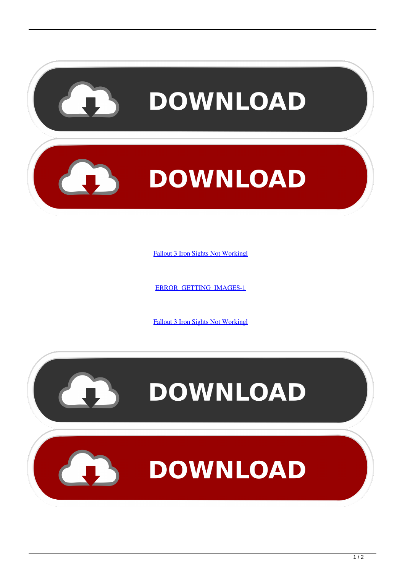

[Fallout 3 Iron Sights Not Workingl](http://tinurll.com/1ct6g3)

[ERROR\\_GETTING\\_IMAGES-1](http://tinurll.com/1ct6g3)

[Fallout 3 Iron Sights Not Workingl](http://tinurll.com/1ct6g3)